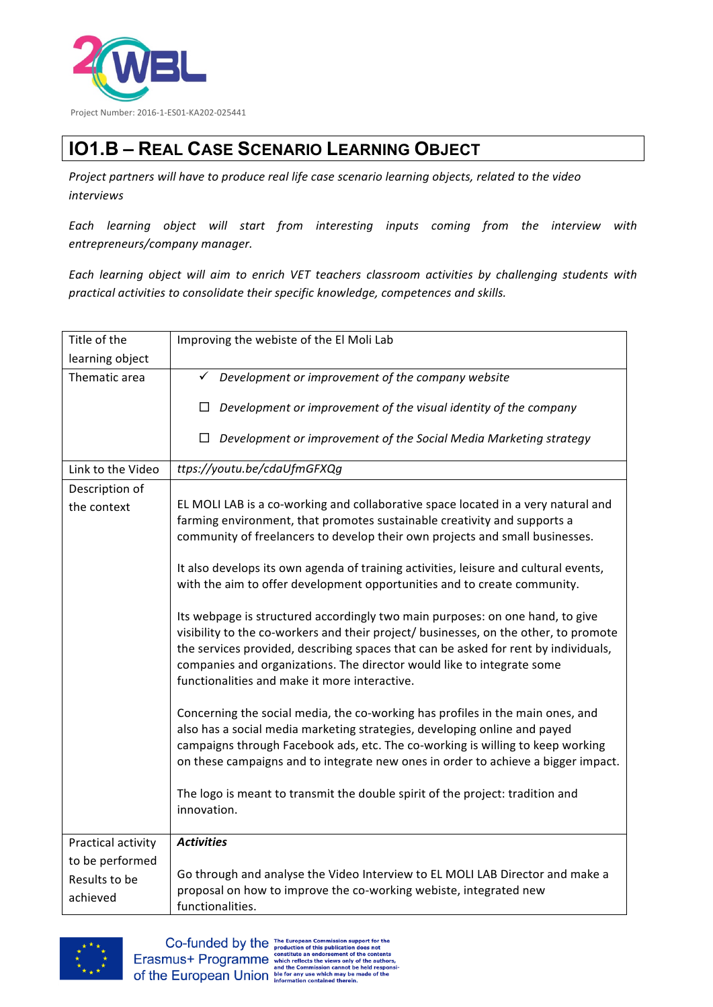

## **IO1.B – REAL CASE SCENARIO LEARNING OBJECT**

Project partners will have to produce real life case scenario learning objects, related to the video *interviews*

*Each learning object will start from interesting inputs coming from the interview with entrepreneurs/company manager.*

Each learning object will aim to enrich VET teachers classroom activities by challenging students with *practical activities to consolidate their specific knowledge, competences and skills.*

| Title of the              | Improving the webiste of the El Moli Lab                                                                                                                                                                                                                                                                                                                                                |
|---------------------------|-----------------------------------------------------------------------------------------------------------------------------------------------------------------------------------------------------------------------------------------------------------------------------------------------------------------------------------------------------------------------------------------|
| learning object           |                                                                                                                                                                                                                                                                                                                                                                                         |
| Thematic area             | $\checkmark$<br>Development or improvement of the company website                                                                                                                                                                                                                                                                                                                       |
|                           | Development or improvement of the visual identity of the company<br>$\Box$                                                                                                                                                                                                                                                                                                              |
|                           | Development or improvement of the Social Media Marketing strategy<br>□                                                                                                                                                                                                                                                                                                                  |
| Link to the Video         | ttps://youtu.be/cdaUfmGFXQg                                                                                                                                                                                                                                                                                                                                                             |
| Description of            |                                                                                                                                                                                                                                                                                                                                                                                         |
| the context               | EL MOLI LAB is a co-working and collaborative space located in a very natural and<br>farming environment, that promotes sustainable creativity and supports a<br>community of freelancers to develop their own projects and small businesses.                                                                                                                                           |
|                           | It also develops its own agenda of training activities, leisure and cultural events,<br>with the aim to offer development opportunities and to create community.                                                                                                                                                                                                                        |
|                           | Its webpage is structured accordingly two main purposes: on one hand, to give<br>visibility to the co-workers and their project/ businesses, on the other, to promote<br>the services provided, describing spaces that can be asked for rent by individuals,<br>companies and organizations. The director would like to integrate some<br>functionalities and make it more interactive. |
|                           | Concerning the social media, the co-working has profiles in the main ones, and<br>also has a social media marketing strategies, developing online and payed<br>campaigns through Facebook ads, etc. The co-working is willing to keep working<br>on these campaigns and to integrate new ones in order to achieve a bigger impact.                                                      |
|                           | The logo is meant to transmit the double spirit of the project: tradition and<br>innovation.                                                                                                                                                                                                                                                                                            |
| Practical activity        | <b>Activities</b>                                                                                                                                                                                                                                                                                                                                                                       |
| to be performed           |                                                                                                                                                                                                                                                                                                                                                                                         |
| Results to be<br>achieved | Go through and analyse the Video Interview to EL MOLI LAB Director and make a<br>proposal on how to improve the co-working webiste, integrated new<br>functionalities.                                                                                                                                                                                                                  |